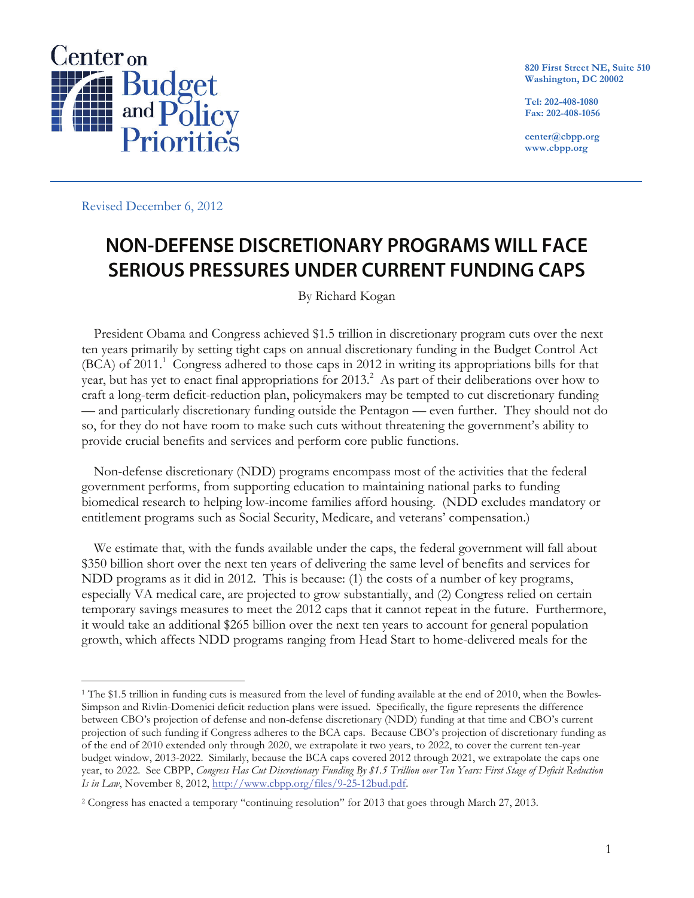

**820 First Street NE, Suite 510 Washington, DC 20002**

**Tel: 202-408-1080 Fax: 202-408-1056**

**center@cbpp.org www.cbpp.org**

Revised December 6, 2012

## **NON-DEFENSE DISCRETIONARY PROGRAMS WILL FACE SERIOUS PRESSURES UNDER CURRENT FUNDING CAPS**

By Richard Kogan

President Obama and Congress achieved \$1.5 trillion in discretionary program cuts over the next ten years primarily by setting tight caps on annual discretionary funding in the Budget Control Act (BCA) of 2011.<sup>1</sup> Congress adhered to those caps in 2012 in writing its appropriations bills for that year, but has yet to enact final appropriations for 2013.<sup>2</sup> As part of their deliberations over how to craft a long-term deficit-reduction plan, policymakers may be tempted to cut discretionary funding — and particularly discretionary funding outside the Pentagon — even further. They should not do so, for they do not have room to make such cuts without threatening the government's ability to provide crucial benefits and services and perform core public functions.

Non-defense discretionary (NDD) programs encompass most of the activities that the federal government performs, from supporting education to maintaining national parks to funding biomedical research to helping low-income families afford housing. (NDD excludes mandatory or entitlement programs such as Social Security, Medicare, and veterans' compensation.)

We estimate that, with the funds available under the caps, the federal government will fall about \$350 billion short over the next ten years of delivering the same level of benefits and services for NDD programs as it did in 2012. This is because: (1) the costs of a number of key programs, especially VA medical care, are projected to grow substantially, and (2) Congress relied on certain temporary savings measures to meet the 2012 caps that it cannot repeat in the future. Furthermore, it would take an additional \$265 billion over the next ten years to account for general population growth, which affects NDD programs ranging from Head Start to home-delivered meals for the

 <sup>1</sup> The \$1.5 trillion in funding cuts is measured from the level of funding available at the end of 2010, when the Bowles-Simpson and Rivlin-Domenici deficit reduction plans were issued. Specifically, the figure represents the difference between CBO's projection of defense and non-defense discretionary (NDD) funding at that time and CBO's current projection of such funding if Congress adheres to the BCA caps. Because CBO's projection of discretionary funding as of the end of 2010 extended only through 2020, we extrapolate it two years, to 2022, to cover the current ten-year budget window, 2013-2022. Similarly, because the BCA caps covered 2012 through 2021, we extrapolate the caps one year, to 2022. See CBPP, *Congress Has Cut Discretionary Funding By \$1.5 Trillion over Ten Years: First Stage of Deficit Reduction Is in Law*, November 8, 2012, http://www.cbpp.org/files/9-25-12bud.pdf.

<sup>2</sup> Congress has enacted a temporary "continuing resolution" for 2013 that goes through March 27, 2013.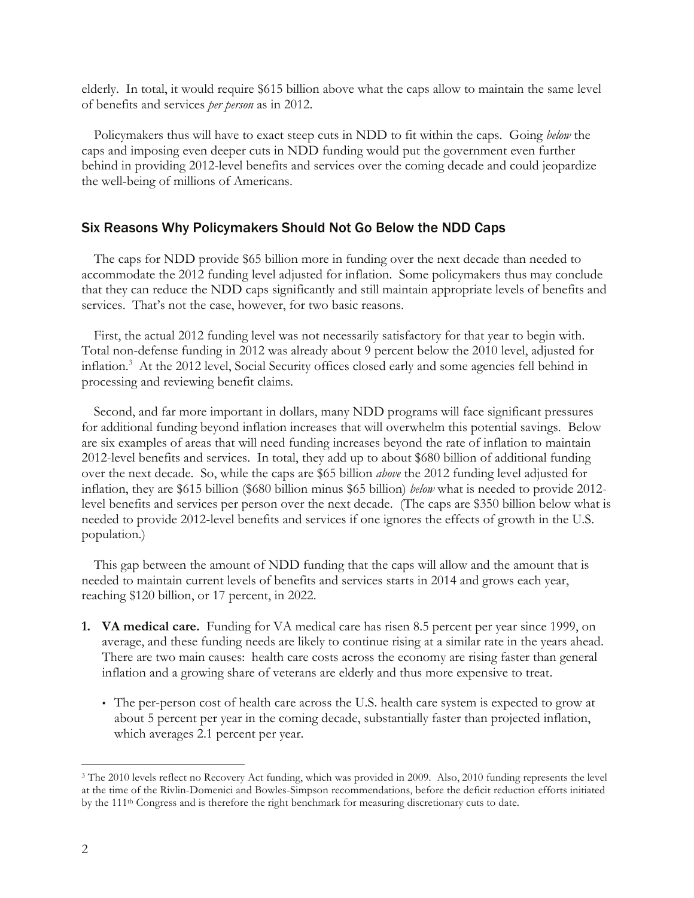elderly. In total, it would require \$615 billion above what the caps allow to maintain the same level of benefits and services *per person* as in 2012.

Policymakers thus will have to exact steep cuts in NDD to fit within the caps. Going *below* the caps and imposing even deeper cuts in NDD funding would put the government even further behind in providing 2012-level benefits and services over the coming decade and could jeopardize the well-being of millions of Americans.

## Six Reasons Why Policymakers Should Not Go Below the NDD Caps

The caps for NDD provide \$65 billion more in funding over the next decade than needed to accommodate the 2012 funding level adjusted for inflation. Some policymakers thus may conclude that they can reduce the NDD caps significantly and still maintain appropriate levels of benefits and services. That's not the case, however, for two basic reasons.

First, the actual 2012 funding level was not necessarily satisfactory for that year to begin with. Total non-defense funding in 2012 was already about 9 percent below the 2010 level, adjusted for inflation.<sup>3</sup> At the 2012 level, Social Security offices closed early and some agencies fell behind in processing and reviewing benefit claims.

Second, and far more important in dollars, many NDD programs will face significant pressures for additional funding beyond inflation increases that will overwhelm this potential savings. Below are six examples of areas that will need funding increases beyond the rate of inflation to maintain 2012-level benefits and services. In total, they add up to about \$680 billion of additional funding over the next decade. So, while the caps are \$65 billion *above* the 2012 funding level adjusted for inflation, they are \$615 billion (\$680 billion minus \$65 billion) *below* what is needed to provide 2012 level benefits and services per person over the next decade. (The caps are \$350 billion below what is needed to provide 2012-level benefits and services if one ignores the effects of growth in the U.S. population.)

This gap between the amount of NDD funding that the caps will allow and the amount that is needed to maintain current levels of benefits and services starts in 2014 and grows each year, reaching \$120 billion, or 17 percent, in 2022.

- **1. VA medical care.** Funding for VA medical care has risen 8.5 percent per year since 1999, on average, and these funding needs are likely to continue rising at a similar rate in the years ahead. There are two main causes: health care costs across the economy are rising faster than general inflation and a growing share of veterans are elderly and thus more expensive to treat.
	- The per-person cost of health care across the U.S. health care system is expected to grow at about 5 percent per year in the coming decade, substantially faster than projected inflation, which averages 2.1 percent per year.

<sup>&</sup>lt;sup>3</sup> The 2010 levels reflect no Recovery Act funding, which was provided in 2009. Also, 2010 funding represents the level at the time of the Rivlin-Domenici and Bowles-Simpson recommendations, before the deficit reduction efforts initiated by the 111th Congress and is therefore the right benchmark for measuring discretionary cuts to date.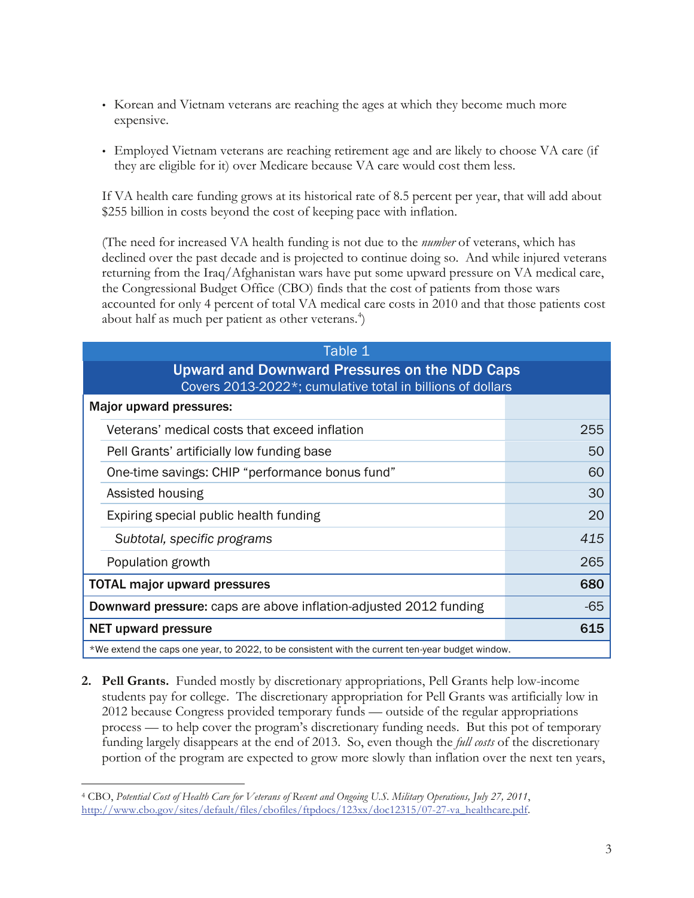- Korean and Vietnam veterans are reaching the ages at which they become much more expensive.
- Employed Vietnam veterans are reaching retirement age and are likely to choose VA care (if they are eligible for it) over Medicare because VA care would cost them less.

If VA health care funding grows at its historical rate of 8.5 percent per year, that will add about \$255 billion in costs beyond the cost of keeping pace with inflation.

(The need for increased VA health funding is not due to the *number* of veterans, which has declined over the past decade and is projected to continue doing so. And while injured veterans returning from the Iraq/Afghanistan wars have put some upward pressure on VA medical care, the Congressional Budget Office (CBO) finds that the cost of patients from those wars accounted for only 4 percent of total VA medical care costs in 2010 and that those patients cost about half as much per patient as other veterans. $^4$ )

|                                                                                                             | Table 1                                                                                          |       |  |  |  |  |  |  |
|-------------------------------------------------------------------------------------------------------------|--------------------------------------------------------------------------------------------------|-------|--|--|--|--|--|--|
| Upward and Downward Pressures on the NDD Caps<br>Covers 2013-2022*; cumulative total in billions of dollars |                                                                                                  |       |  |  |  |  |  |  |
|                                                                                                             | Major upward pressures:                                                                          |       |  |  |  |  |  |  |
|                                                                                                             | Veterans' medical costs that exceed inflation                                                    | 255   |  |  |  |  |  |  |
|                                                                                                             | Pell Grants' artificially low funding base                                                       | 50    |  |  |  |  |  |  |
|                                                                                                             | One-time savings: CHIP "performance bonus fund"                                                  | 60    |  |  |  |  |  |  |
|                                                                                                             | Assisted housing                                                                                 | 30    |  |  |  |  |  |  |
|                                                                                                             | Expiring special public health funding                                                           | 20    |  |  |  |  |  |  |
|                                                                                                             | Subtotal, specific programs                                                                      | 415   |  |  |  |  |  |  |
|                                                                                                             | Population growth                                                                                | 265   |  |  |  |  |  |  |
|                                                                                                             | <b>TOTAL major upward pressures</b>                                                              | 680   |  |  |  |  |  |  |
|                                                                                                             | <b>Downward pressure:</b> caps are above inflation-adjusted 2012 funding                         | $-65$ |  |  |  |  |  |  |
|                                                                                                             | <b>NET upward pressure</b>                                                                       | 615   |  |  |  |  |  |  |
|                                                                                                             | *We extend the caps one year, to 2022, to be consistent with the current ten-year budget window. |       |  |  |  |  |  |  |

**2. Pell Grants.** Funded mostly by discretionary appropriations, Pell Grants help low-income students pay for college. The discretionary appropriation for Pell Grants was artificially low in 2012 because Congress provided temporary funds — outside of the regular appropriations process — to help cover the program's discretionary funding needs. But this pot of temporary funding largely disappears at the end of 2013. So, even though the *full costs* of the discretionary portion of the program are expected to grow more slowly than inflation over the next ten years,

 <sup>4</sup> CBO, *Potential Cost of Health Care for Veterans of Recent and Ongoing U.S. Military Operations, July 27, 2011*, http://www.cbo.gov/sites/default/files/cbofiles/ftpdocs/123xx/doc12315/07-27-va\_healthcare.pdf.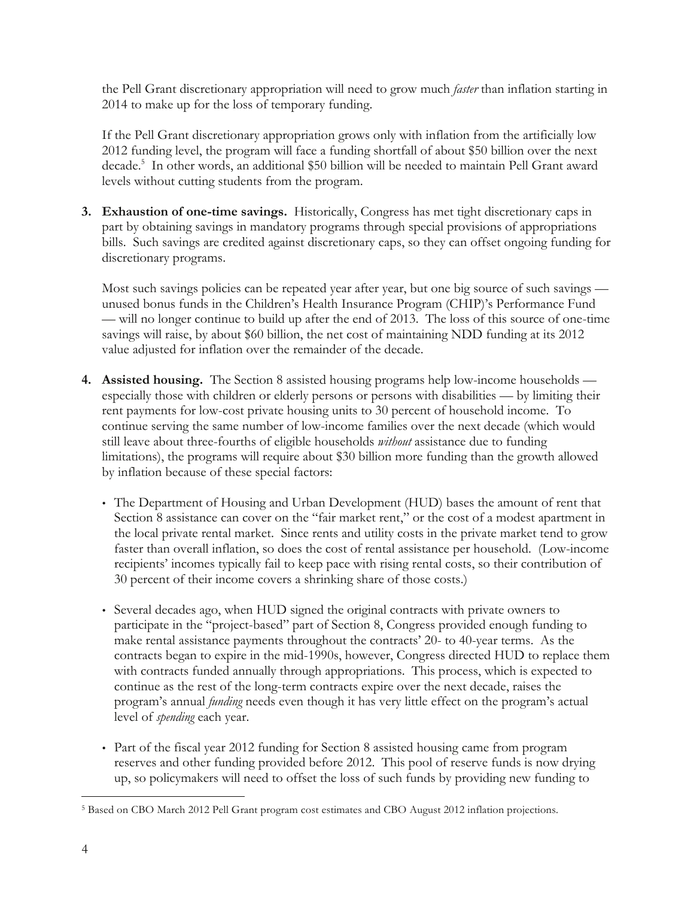the Pell Grant discretionary appropriation will need to grow much *faster* than inflation starting in 2014 to make up for the loss of temporary funding.

If the Pell Grant discretionary appropriation grows only with inflation from the artificially low 2012 funding level, the program will face a funding shortfall of about \$50 billion over the next decade.5 In other words, an additional \$50 billion will be needed to maintain Pell Grant award levels without cutting students from the program.

**3. Exhaustion of one-time savings.** Historically, Congress has met tight discretionary caps in part by obtaining savings in mandatory programs through special provisions of appropriations bills. Such savings are credited against discretionary caps, so they can offset ongoing funding for discretionary programs.

Most such savings policies can be repeated year after year, but one big source of such savings unused bonus funds in the Children's Health Insurance Program (CHIP)'s Performance Fund — will no longer continue to build up after the end of 2013. The loss of this source of one-time savings will raise, by about \$60 billion, the net cost of maintaining NDD funding at its 2012 value adjusted for inflation over the remainder of the decade.

- **4. Assisted housing.** The Section 8 assisted housing programs help low-income households especially those with children or elderly persons or persons with disabilities — by limiting their rent payments for low-cost private housing units to 30 percent of household income. To continue serving the same number of low-income families over the next decade (which would still leave about three-fourths of eligible households *without* assistance due to funding limitations), the programs will require about \$30 billion more funding than the growth allowed by inflation because of these special factors:
	- The Department of Housing and Urban Development (HUD) bases the amount of rent that Section 8 assistance can cover on the "fair market rent," or the cost of a modest apartment in the local private rental market. Since rents and utility costs in the private market tend to grow faster than overall inflation, so does the cost of rental assistance per household. (Low-income recipients' incomes typically fail to keep pace with rising rental costs, so their contribution of 30 percent of their income covers a shrinking share of those costs.)
	- Several decades ago, when HUD signed the original contracts with private owners to participate in the "project-based" part of Section 8, Congress provided enough funding to make rental assistance payments throughout the contracts' 20- to 40-year terms. As the contracts began to expire in the mid-1990s, however, Congress directed HUD to replace them with contracts funded annually through appropriations. This process, which is expected to continue as the rest of the long-term contracts expire over the next decade, raises the program's annual *funding* needs even though it has very little effect on the program's actual level of *spending* each year.
	- Part of the fiscal year 2012 funding for Section 8 assisted housing came from program reserves and other funding provided before 2012. This pool of reserve funds is now drying up, so policymakers will need to offset the loss of such funds by providing new funding to

 <sup>5</sup> Based on CBO March 2012 Pell Grant program cost estimates and CBO August 2012 inflation projections.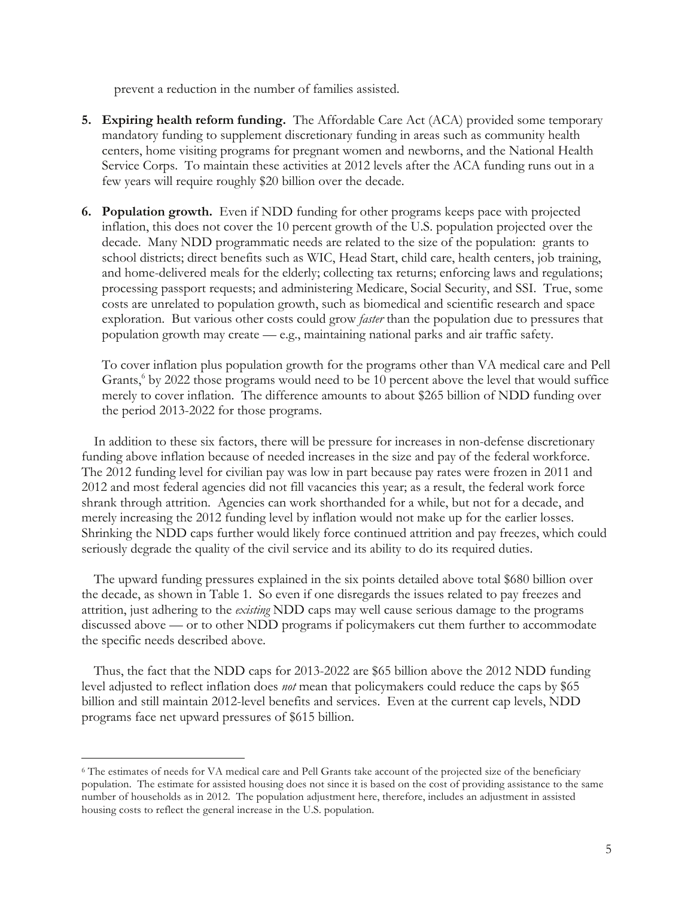prevent a reduction in the number of families assisted.

- **5. Expiring health reform funding.** The Affordable Care Act (ACA) provided some temporary mandatory funding to supplement discretionary funding in areas such as community health centers, home visiting programs for pregnant women and newborns, and the National Health Service Corps. To maintain these activities at 2012 levels after the ACA funding runs out in a few years will require roughly \$20 billion over the decade.
- **6. Population growth.** Even if NDD funding for other programs keeps pace with projected inflation, this does not cover the 10 percent growth of the U.S. population projected over the decade. Many NDD programmatic needs are related to the size of the population: grants to school districts; direct benefits such as WIC, Head Start, child care, health centers, job training, and home-delivered meals for the elderly; collecting tax returns; enforcing laws and regulations; processing passport requests; and administering Medicare, Social Security, and SSI. True, some costs are unrelated to population growth, such as biomedical and scientific research and space exploration. But various other costs could grow *faster* than the population due to pressures that population growth may create — e.g., maintaining national parks and air traffic safety.

To cover inflation plus population growth for the programs other than VA medical care and Pell Grants,<sup>6</sup> by 2022 those programs would need to be 10 percent above the level that would suffice merely to cover inflation. The difference amounts to about \$265 billion of NDD funding over the period 2013-2022 for those programs.

In addition to these six factors, there will be pressure for increases in non-defense discretionary funding above inflation because of needed increases in the size and pay of the federal workforce. The 2012 funding level for civilian pay was low in part because pay rates were frozen in 2011 and 2012 and most federal agencies did not fill vacancies this year; as a result, the federal work force shrank through attrition. Agencies can work shorthanded for a while, but not for a decade, and merely increasing the 2012 funding level by inflation would not make up for the earlier losses. Shrinking the NDD caps further would likely force continued attrition and pay freezes, which could seriously degrade the quality of the civil service and its ability to do its required duties.

The upward funding pressures explained in the six points detailed above total \$680 billion over the decade, as shown in Table 1. So even if one disregards the issues related to pay freezes and attrition, just adhering to the *existing* NDD caps may well cause serious damage to the programs discussed above — or to other NDD programs if policymakers cut them further to accommodate the specific needs described above.

Thus, the fact that the NDD caps for 2013-2022 are \$65 billion above the 2012 NDD funding level adjusted to reflect inflation does *not* mean that policymakers could reduce the caps by \$65 billion and still maintain 2012-level benefits and services. Even at the current cap levels, NDD programs face net upward pressures of \$615 billion.

 <sup>6</sup> The estimates of needs for VA medical care and Pell Grants take account of the projected size of the beneficiary population. The estimate for assisted housing does not since it is based on the cost of providing assistance to the same number of households as in 2012. The population adjustment here, therefore, includes an adjustment in assisted housing costs to reflect the general increase in the U.S. population.